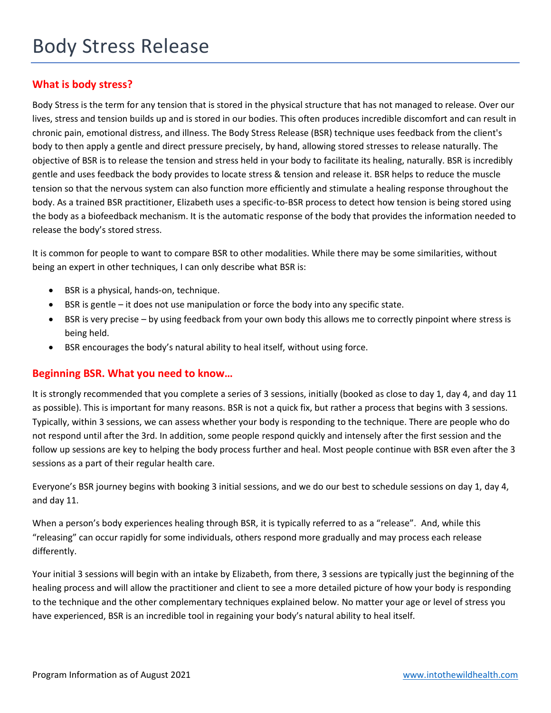## **What is body stress?**

Body Stress is the term for any tension that is stored in the physical structure that has not managed to release. Over our lives, stress and tension builds up and is stored in our bodies. This often produces incredible discomfort and can result in chronic pain, emotional distress, and illness. The Body Stress Release (BSR) technique uses feedback from the client's body to then apply a gentle and direct pressure precisely, by hand, allowing stored stresses to release naturally. The objective of BSR is to release the tension and stress held in your body to facilitate its healing, naturally. BSR is incredibly gentle and uses feedback the body provides to locate stress & tension and release it. BSR helps to reduce the muscle tension so that the nervous system can also function more efficiently and stimulate a healing response throughout the body. As a trained BSR practitioner, Elizabeth uses a specific-to-BSR process to detect how tension is being stored using the body as a biofeedback mechanism. It is the automatic response of the body that provides the information needed to release the body's stored stress.

It is common for people to want to compare BSR to other modalities. While there may be some similarities, without being an expert in other techniques, I can only describe what BSR is:

- BSR is a physical, hands-on, technique.
- BSR is gentle it does not use manipulation or force the body into any specific state.
- BSR is very precise by using feedback from your own body this allows me to correctly pinpoint where stress is being held.
- BSR encourages the body's natural ability to heal itself, without using force.

## **Beginning BSR. What you need to know…**

It is strongly recommended that you complete a series of 3 sessions, initially (booked as close to day 1, day 4, and day 11 as possible). This is important for many reasons. BSR is not a quick fix, but rather a process that begins with 3 sessions. Typically, within 3 sessions, we can assess whether your body is responding to the technique. There are people who do not respond until after the 3rd. In addition, some people respond quickly and intensely after the first session and the follow up sessions are key to helping the body process further and heal. Most people continue with BSR even after the 3 sessions as a part of their regular health care.

Everyone's BSR journey begins with booking 3 initial sessions, and we do our best to schedule sessions on day 1, day 4, and day 11.

When a person's body experiences healing through BSR, it is typically referred to as a "release". And, while this "releasing" can occur rapidly for some individuals, others respond more gradually and may process each release differently.

Your initial 3 sessions will begin with an intake by Elizabeth, from there, 3 sessions are typically just the beginning of the healing process and will allow the practitioner and client to see a more detailed picture of how your body is responding to the technique and the other complementary techniques explained below. No matter your age or level of stress you have experienced, BSR is an incredible tool in regaining your body's natural ability to heal itself.